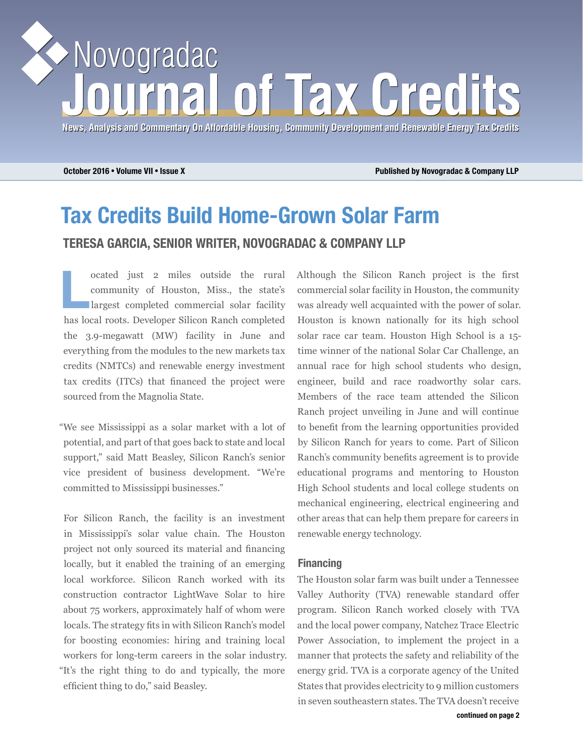# Novogradac of Tax Gred

**News, Analysis and Commentary On Affordable Housing, Community Development and Renewable Energy Tax Credits News, Analysis and Commentary On Affordable Housing, Community Development and Energy Tax Credits**

**October 2016** • **Volume VII** • **Issue X Published by Novogradac & Company LLP**

## **Tax Credits Build Home-Grown Solar Farm TERESA GARCIA, SENIOR WRITER, NOVOGRADAC & COMPANY LLP**

**Lack** contract outside the rural community of Houston, Miss., the state's largest completed commercial solar facility community of Houston, Miss., the state's has local roots. Developer Silicon Ranch completed the 3.9-megawatt (MW) facility in June and everything from the modules to the new markets tax credits (NMTCs) and renewable energy investment tax credits (ITCs) that financed the project were sourced from the Magnolia State.

"We see Mississippi as a solar market with a lot of potential, and part of that goes back to state and local support," said Matt Beasley, Silicon Ranch's senior vice president of business development. "We're committed to Mississippi businesses."

For Silicon Ranch, the facility is an investment in Mississippi's solar value chain. The Houston project not only sourced its material and financing locally, but it enabled the training of an emerging local workforce. Silicon Ranch worked with its construction contractor LightWave Solar to hire about 75 workers, approximately half of whom were locals. The strategy fits in with Silicon Ranch's model for boosting economies: hiring and training local workers for long-term careers in the solar industry. "It's the right thing to do and typically, the more efficient thing to do," said Beasley.

Although the Silicon Ranch project is the first commercial solar facility in Houston, the community was already well acquainted with the power of solar. Houston is known nationally for its high school solar race car team. Houston High School is a 15 time winner of the national Solar Car Challenge, an annual race for high school students who design, engineer, build and race roadworthy solar cars. Members of the race team attended the Silicon Ranch project unveiling in June and will continue to benefit from the learning opportunities provided by Silicon Ranch for years to come. Part of Silicon Ranch's community benefits agreement is to provide educational programs and mentoring to Houston High School students and local college students on mechanical engineering, electrical engineering and other areas that can help them prepare for careers in renewable energy technology.

#### **Financing**

The Houston solar farm was built under a Tennessee Valley Authority (TVA) renewable standard offer program. Silicon Ranch worked closely with TVA and the local power company, Natchez Trace Electric Power Association, to implement the project in a manner that protects the safety and reliability of the energy grid. TVA is a corporate agency of the United States that provides electricity to 9 million customers in seven southeastern states. The TVA doesn't receive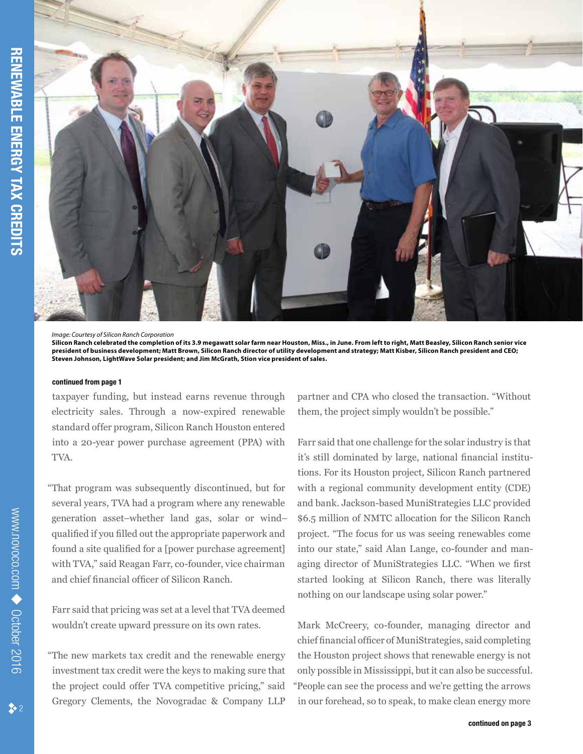

*Image: Courtesy of Silicon Ranch Corporation*

#### **continued from page 1**

taxpayer funding, but instead earns revenue through electricity sales. Through a now-expired renewable standard offer program, Silicon Ranch Houston entered into a 20-year power purchase agreement (PPA) with TVA.

"That program was subsequently discontinued, but for several years, TVA had a program where any renewable generation asset–whether land gas, solar or wind– qualified if you filled out the appropriate paperwork and found a site qualified for a [power purchase agreement] with TVA," said Reagan Farr, co-founder, vice chairman and chief financial officer of Silicon Ranch.

Farr said that pricing was set at a level that TVA deemed wouldn't create upward pressure on its own rates.

"The new markets tax credit and the renewable energy investment tax credit were the keys to making sure that the project could offer TVA competitive pricing," said Gregory Clements, the Novogradac & Company LLP partner and CPA who closed the transaction. "Without them, the project simply wouldn't be possible."

Farr said that one challenge for the solar industry is that it's still dominated by large, national financial institutions. For its Houston project, Silicon Ranch partnered with a regional community development entity (CDE) and bank. Jackson-based MuniStrategies LLC provided \$6.5 million of NMTC allocation for the Silicon Ranch project. "The focus for us was seeing renewables come into our state," said Alan Lange, co-founder and managing director of MuniStrategies LLC. "When we first started looking at Silicon Ranch, there was literally nothing on our landscape using solar power."

Mark McCreery, co-founder, managing director and chief financial officer of MuniStrategies, said completing the Houston project shows that renewable energy is not only possible in Mississippi, but it can also be successful. "People can see the process and we're getting the arrows in our forehead, so to speak, to make clean energy more

**Silicon Ranch celebrated the completion of its 3.9 megawatt solar farm near Houston, Miss., in June. From left to right, Matt Beasley, Silicon Ranch senior vice president of business development; Matt Brown, Silicon Ranch director of utility development and strategy; Matt Kisber, Silicon Ranch president and CEO; Steven Johnson, LightWave Solar president; and Jim McGrath, Stion vice president of sales.**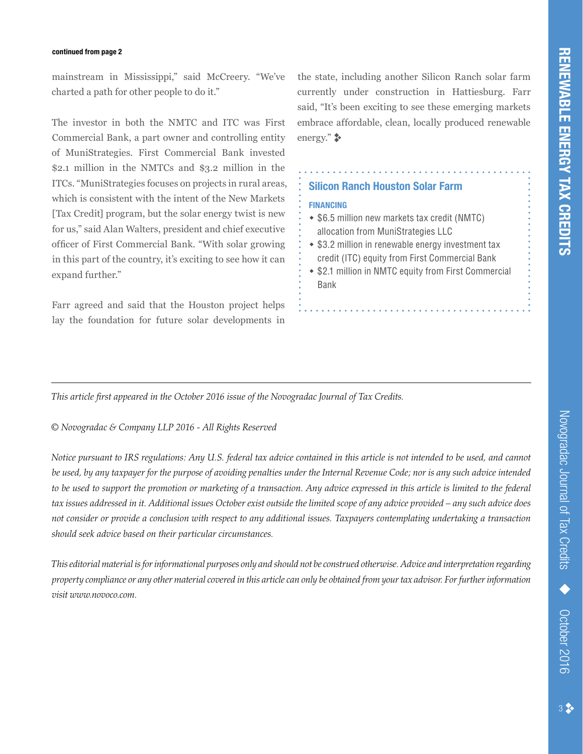#### **continued from page 2**

mainstream in Mississippi," said McCreery. "We've charted a path for other people to do it."

The investor in both the NMTC and ITC was First Commercial Bank, a part owner and controlling entity of MuniStrategies. First Commercial Bank invested \$2.1 million in the NMTCs and \$3.2 million in the ITCs. "MuniStrategies focuses on projects in rural areas, which is consistent with the intent of the New Markets [Tax Credit] program, but the solar energy twist is new for us," said Alan Walters, president and chief executive officer of First Commercial Bank. "With solar growing in this part of the country, it's exciting to see how it can expand further."

Farr agreed and said that the Houston project helps lay the foundation for future solar developments in the state, including another Silicon Ranch solar farm currently under construction in Hattiesburg. Farr said, "It's been exciting to see these emerging markets embrace affordable, clean, locally produced renewable energy." $\bullet$ 

#### **Silicon Ranch Houston Solar Farm**

#### **FINANCING**

- \$6.5 million new markets tax credit (NMTC) allocation from MuniStrategies LLC
- \$3.2 million in renewable energy investment tax credit (ITC) equity from First Commercial Bank
- \$2.1 million in NMTC equity from First Commercial Bank

*This article first appeared in the October 2016 issue of the Novogradac Journal of Tax Credits.* 

*© Novogradac & Company LLP 2016 - All Rights Reserved*

*Notice pursuant to IRS regulations: Any U.S. federal tax advice contained in this article is not intended to be used, and cannot be used, by any taxpayer for the purpose of avoiding penalties under the Internal Revenue Code; nor is any such advice intended to be used to support the promotion or marketing of a transaction. Any advice expressed in this article is limited to the federal tax issues addressed in it. Additional issues October exist outside the limited scope of any advice provided – any such advice does not consider or provide a conclusion with respect to any additional issues. Taxpayers contemplating undertaking a transaction should seek advice based on their particular circumstances.* 

*This editorial material is for informational purposes only and should not be construed otherwise. Advice and interpretation regarding property compliance or any other material covered in this article can only be obtained from your tax advisor. For further information visit www.novoco.com.*